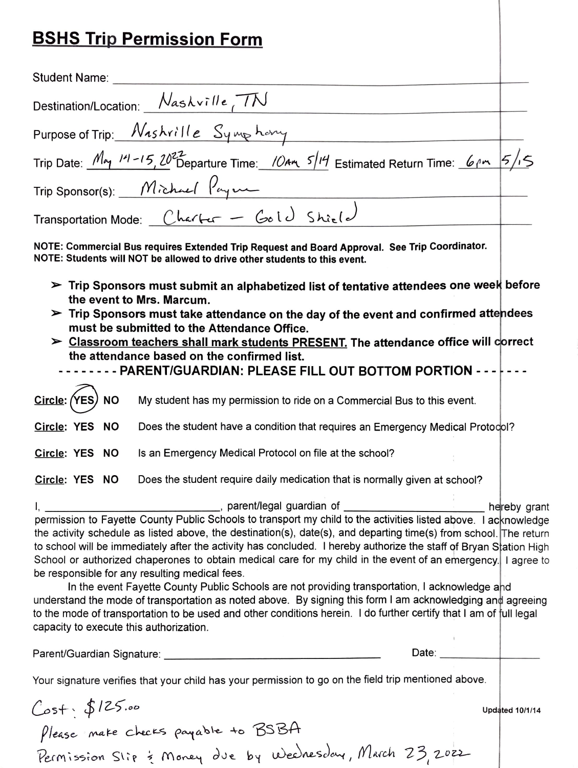## **BSHS Trip Permission Form**

| Student Name:                                                                                                                                                                                                                                                                                                                                                                                                                                                                                                                                                                                                                                                                                                                                                                                                                                                                                                 |              |
|---------------------------------------------------------------------------------------------------------------------------------------------------------------------------------------------------------------------------------------------------------------------------------------------------------------------------------------------------------------------------------------------------------------------------------------------------------------------------------------------------------------------------------------------------------------------------------------------------------------------------------------------------------------------------------------------------------------------------------------------------------------------------------------------------------------------------------------------------------------------------------------------------------------|--------------|
| Destination/Location: Nashville TN                                                                                                                                                                                                                                                                                                                                                                                                                                                                                                                                                                                                                                                                                                                                                                                                                                                                            |              |
| Purpose of Trip: Nashrille Symphony                                                                                                                                                                                                                                                                                                                                                                                                                                                                                                                                                                                                                                                                                                                                                                                                                                                                           |              |
| Trip Date: $M_{\gamma}$ $M - 15$ , $20^{22}$ Departure Time: $104\pi$ $5/14$ Estimated Return Time: 6pm $5/15$                                                                                                                                                                                                                                                                                                                                                                                                                                                                                                                                                                                                                                                                                                                                                                                                |              |
| $Trip Sponsor(s): Mìchuel Payr-$                                                                                                                                                                                                                                                                                                                                                                                                                                                                                                                                                                                                                                                                                                                                                                                                                                                                              |              |
| Transportation Mode: Charter - Gold Shirld                                                                                                                                                                                                                                                                                                                                                                                                                                                                                                                                                                                                                                                                                                                                                                                                                                                                    |              |
| NOTE: Commercial Bus requires Extended Trip Request and Board Approval. See Trip Coordinator.<br>NOTE: Students will NOT be allowed to drive other students to this event.                                                                                                                                                                                                                                                                                                                                                                                                                                                                                                                                                                                                                                                                                                                                    |              |
| $\triangleright$ Trip Sponsors must submit an alphabetized list of tentative attendees one week before<br>the event to Mrs. Marcum.<br>$\triangleright$ Trip Sponsors must take attendance on the day of the event and confirmed attendees<br>must be submitted to the Attendance Office.<br>> Classroom teachers shall mark students PRESENT. The attendance office will correct<br>the attendance based on the confirmed list.<br>--- PARENT/GUARDIAN: PLEASE FILL OUT BOTTOM PORTION --- F---                                                                                                                                                                                                                                                                                                                                                                                                              |              |
| Circle: (YES) NO<br>My student has my permission to ride on a Commercial Bus to this event.                                                                                                                                                                                                                                                                                                                                                                                                                                                                                                                                                                                                                                                                                                                                                                                                                   |              |
| Circle: YES NO<br>Does the student have a condition that requires an Emergency Medical Protocol?                                                                                                                                                                                                                                                                                                                                                                                                                                                                                                                                                                                                                                                                                                                                                                                                              |              |
| Is an Emergency Medical Protocol on file at the school?<br>Circle: YES NO                                                                                                                                                                                                                                                                                                                                                                                                                                                                                                                                                                                                                                                                                                                                                                                                                                     |              |
| Does the student require daily medication that is normally given at school?<br>Circle: YES NO                                                                                                                                                                                                                                                                                                                                                                                                                                                                                                                                                                                                                                                                                                                                                                                                                 |              |
|                                                                                                                                                                                                                                                                                                                                                                                                                                                                                                                                                                                                                                                                                                                                                                                                                                                                                                               | hereby grant |
| permission to Fayette County Public Schools to transport my child to the activities listed above. I acknowledge<br>the activity schedule as listed above, the destination(s), date(s), and departing time(s) from school. The return<br>to school will be immediately after the activity has concluded. I hereby authorize the staff of Bryan Station High<br>School or authorized chaperones to obtain medical care for my child in the event of an emergency. I agree to<br>be responsible for any resulting medical fees.<br>In the event Fayette County Public Schools are not providing transportation, I acknowledge and<br>understand the mode of transportation as noted above. By signing this form I am acknowledging and agreeing<br>to the mode of transportation to be used and other conditions herein. I do further certify that I am of full legal<br>capacity to execute this authorization. |              |
| Date: <u>Date: Service</u>                                                                                                                                                                                                                                                                                                                                                                                                                                                                                                                                                                                                                                                                                                                                                                                                                                                                                    |              |
| Your signature verifies that your child has your permission to go on the field trip mentioned above.                                                                                                                                                                                                                                                                                                                                                                                                                                                                                                                                                                                                                                                                                                                                                                                                          |              |
| <b>Updated 10/1/14</b>                                                                                                                                                                                                                                                                                                                                                                                                                                                                                                                                                                                                                                                                                                                                                                                                                                                                                        |              |
| Cost: \$125.00<br>Please mate checks payable to BSBA                                                                                                                                                                                                                                                                                                                                                                                                                                                                                                                                                                                                                                                                                                                                                                                                                                                          |              |

Permission Slip & Money due by Weelnesday, March 23, 202<del>2</del>